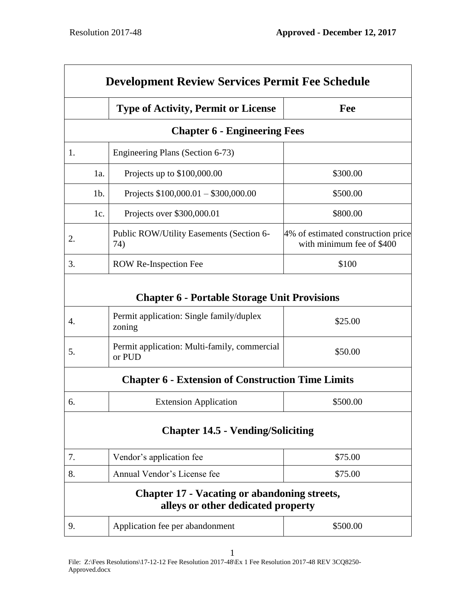| <b>Development Review Services Permit Fee Schedule</b> |        |                                                                                           |                                                                 |
|--------------------------------------------------------|--------|-------------------------------------------------------------------------------------------|-----------------------------------------------------------------|
|                                                        |        | <b>Type of Activity, Permit or License</b>                                                | Fee                                                             |
|                                                        |        | <b>Chapter 6 - Engineering Fees</b>                                                       |                                                                 |
| 1.                                                     |        | Engineering Plans (Section 6-73)                                                          |                                                                 |
|                                                        | 1a.    | Projects up to \$100,000.00                                                               | \$300.00                                                        |
|                                                        | $1b$ . | Projects $$100,000.01 - $300,000.00$                                                      | \$500.00                                                        |
|                                                        | 1c.    | Projects over \$300,000.01                                                                | \$800.00                                                        |
| 2.                                                     |        | Public ROW/Utility Easements (Section 6-<br>74)                                           | 4% of estimated construction price<br>with minimum fee of \$400 |
| 3.                                                     |        | <b>ROW Re-Inspection Fee</b>                                                              | \$100                                                           |
|                                                        |        | <b>Chapter 6 - Portable Storage Unit Provisions</b>                                       |                                                                 |
| 4.                                                     |        | Permit application: Single family/duplex<br>zoning                                        | \$25.00                                                         |
| 5.                                                     |        | Permit application: Multi-family, commercial<br>or PUD                                    | \$50.00                                                         |
|                                                        |        | <b>Chapter 6 - Extension of Construction Time Limits</b>                                  |                                                                 |
| 6.                                                     |        | <b>Extension Application</b>                                                              | \$500.00                                                        |
|                                                        |        | <b>Chapter 14.5 - Vending/Soliciting</b>                                                  |                                                                 |
| 7.                                                     |        | Vendor's application fee                                                                  | \$75.00                                                         |
| 8.                                                     |        | Annual Vendor's License fee                                                               | \$75.00                                                         |
|                                                        |        | <b>Chapter 17 - Vacating or abandoning streets,</b><br>alleys or other dedicated property |                                                                 |
| 9.                                                     |        | Application fee per abandonment                                                           | \$500.00                                                        |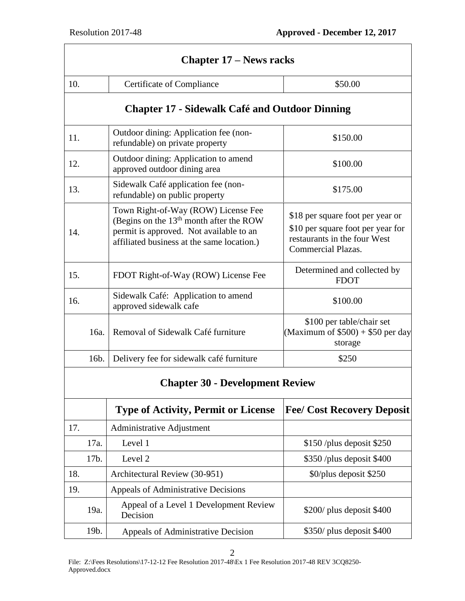| <b>Chapter 17 – News racks</b>         |                                                                                                                                                                           |                                                                                                                                    |  |
|----------------------------------------|---------------------------------------------------------------------------------------------------------------------------------------------------------------------------|------------------------------------------------------------------------------------------------------------------------------------|--|
| 10.                                    | Certificate of Compliance                                                                                                                                                 | \$50.00                                                                                                                            |  |
|                                        | <b>Chapter 17 - Sidewalk Café and Outdoor Dinning</b>                                                                                                                     |                                                                                                                                    |  |
| 11.                                    | Outdoor dining: Application fee (non-<br>refundable) on private property                                                                                                  | \$150.00                                                                                                                           |  |
| 12.                                    | Outdoor dining: Application to amend<br>approved outdoor dining area                                                                                                      | \$100.00                                                                                                                           |  |
| 13.                                    | Sidewalk Café application fee (non-<br>refundable) on public property                                                                                                     | \$175.00                                                                                                                           |  |
| 14.                                    | Town Right-of-Way (ROW) License Fee<br>(Begins on the $13th$ month after the ROW<br>permit is approved. Not available to an<br>affiliated business at the same location.) | \$18 per square foot per year or<br>\$10 per square foot per year for<br>restaurants in the four West<br><b>Commercial Plazas.</b> |  |
| 15.                                    | FDOT Right-of-Way (ROW) License Fee                                                                                                                                       | Determined and collected by<br><b>FDOT</b>                                                                                         |  |
| 16.                                    | Sidewalk Café: Application to amend<br>approved sidewalk cafe                                                                                                             | \$100.00                                                                                                                           |  |
| 16a.                                   | Removal of Sidewalk Café furniture                                                                                                                                        | \$100 per table/chair set<br>(Maximum of $$500$ ) + \$50 per day<br>storage                                                        |  |
| 16b.                                   | Delivery fee for sidewalk café furniture                                                                                                                                  | \$250                                                                                                                              |  |
| <b>Chapter 30 - Development Review</b> |                                                                                                                                                                           |                                                                                                                                    |  |
|                                        | <b>Type of Activity, Permit or License</b>                                                                                                                                | <b>Fee/ Cost Recovery Deposit</b>                                                                                                  |  |
| 17.                                    | Administrative Adjustment                                                                                                                                                 |                                                                                                                                    |  |
| 17a.                                   | Level 1                                                                                                                                                                   | $$150$ /plus deposit \$250                                                                                                         |  |
| 17b.                                   | Level 2                                                                                                                                                                   | \$350 /plus deposit \$400                                                                                                          |  |
| 18.                                    | Architectural Review (30-951)                                                                                                                                             | \$0/plus deposit \$250                                                                                                             |  |
| 19.                                    | Appeals of Administrative Decisions                                                                                                                                       |                                                                                                                                    |  |
| 19a.                                   | Appeal of a Level 1 Development Review<br>Decision                                                                                                                        | \$200/ plus deposit \$400                                                                                                          |  |
| 19b.                                   | Appeals of Administrative Decision                                                                                                                                        | \$350/ plus deposit \$400                                                                                                          |  |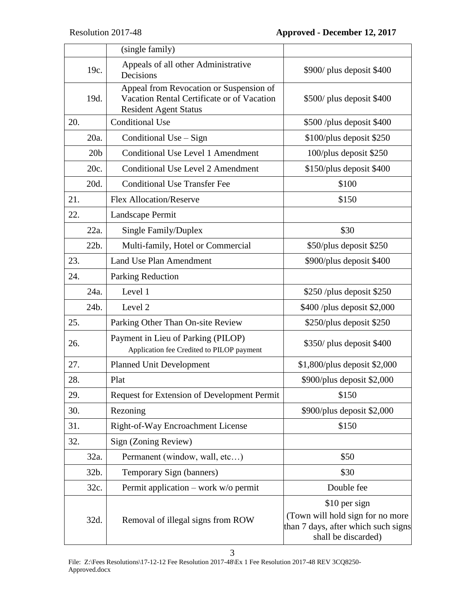|     |                 | (single family)                                                                                                       |                                                                                                                 |
|-----|-----------------|-----------------------------------------------------------------------------------------------------------------------|-----------------------------------------------------------------------------------------------------------------|
|     | 19c.            | Appeals of all other Administrative<br>Decisions                                                                      | \$900/ plus deposit \$400                                                                                       |
|     | 19d.            | Appeal from Revocation or Suspension of<br>Vacation Rental Certificate or of Vacation<br><b>Resident Agent Status</b> | \$500/ plus deposit \$400                                                                                       |
| 20. |                 | <b>Conditional Use</b>                                                                                                | \$500 /plus deposit \$400                                                                                       |
|     | 20a.            | Conditional Use - Sign                                                                                                | \$100/plus deposit \$250                                                                                        |
|     | 20 <sub>b</sub> | <b>Conditional Use Level 1 Amendment</b>                                                                              | 100/plus deposit \$250                                                                                          |
|     | 20c.            | <b>Conditional Use Level 2 Amendment</b>                                                                              | \$150/plus deposit \$400                                                                                        |
|     | 20d.            | <b>Conditional Use Transfer Fee</b>                                                                                   | \$100                                                                                                           |
| 21. |                 | <b>Flex Allocation/Reserve</b>                                                                                        | \$150                                                                                                           |
| 22. |                 | Landscape Permit                                                                                                      |                                                                                                                 |
|     | 22a.            | Single Family/Duplex                                                                                                  | \$30                                                                                                            |
|     | 22b.            | Multi-family, Hotel or Commercial                                                                                     | \$50/plus deposit \$250                                                                                         |
| 23. |                 | <b>Land Use Plan Amendment</b>                                                                                        | \$900/plus deposit \$400                                                                                        |
| 24. |                 | Parking Reduction                                                                                                     |                                                                                                                 |
|     | 24a.            | Level 1                                                                                                               | \$250 /plus deposit \$250                                                                                       |
|     | 24b.            | Level 2                                                                                                               | \$400 /plus deposit \$2,000                                                                                     |
| 25. |                 | Parking Other Than On-site Review                                                                                     | \$250/plus deposit \$250                                                                                        |
| 26. |                 | Payment in Lieu of Parking (PILOP)<br>Application fee Credited to PILOP payment                                       | \$350/ plus deposit \$400                                                                                       |
| 27. |                 | <b>Planned Unit Development</b>                                                                                       | $$1,800/plus$ deposit \$2,000                                                                                   |
| 28. |                 | Plat                                                                                                                  | \$900/plus deposit \$2,000                                                                                      |
| 29. |                 | Request for Extension of Development Permit                                                                           | \$150                                                                                                           |
| 30. |                 | Rezoning                                                                                                              | \$900/plus deposit \$2,000                                                                                      |
| 31. |                 | Right-of-Way Encroachment License                                                                                     | \$150                                                                                                           |
| 32. |                 | Sign (Zoning Review)                                                                                                  |                                                                                                                 |
|     | 32a.            | Permanent (window, wall, etc)                                                                                         | \$50                                                                                                            |
|     | 32b.            | Temporary Sign (banners)                                                                                              | \$30                                                                                                            |
|     | 32c.            | Permit application – work $w/o$ permit                                                                                | Double fee                                                                                                      |
|     | 32d.            | Removal of illegal signs from ROW                                                                                     | \$10 per sign<br>(Town will hold sign for no more<br>than 7 days, after which such signs<br>shall be discarded) |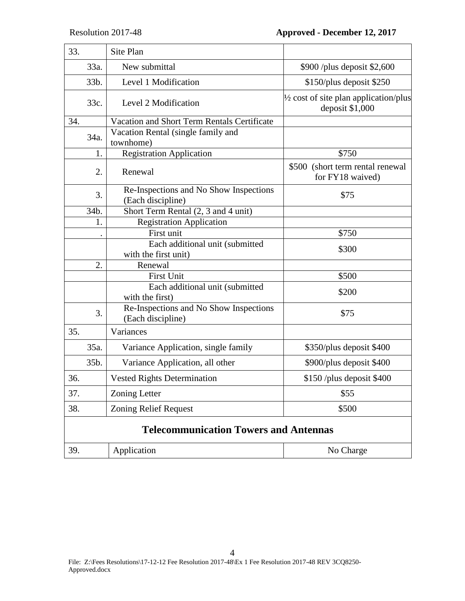| 33.                                          |      | Site Plan                                                   |                                                           |
|----------------------------------------------|------|-------------------------------------------------------------|-----------------------------------------------------------|
|                                              | 33a. | New submittal                                               | \$900 /plus deposit \$2,600                               |
|                                              | 33b. | Level 1 Modification                                        | \$150/plus deposit \$250                                  |
|                                              | 33c. | Level 2 Modification                                        | 1/2 cost of site plan application/plus<br>deposit \$1,000 |
| 34.                                          |      | Vacation and Short Term Rentals Certificate                 |                                                           |
|                                              | 34a. | Vacation Rental (single family and<br>townhome)             |                                                           |
|                                              | 1.   | <b>Registration Application</b>                             | \$750                                                     |
|                                              | 2.   | Renewal                                                     | \$500 (short term rental renewal<br>for FY18 waived)      |
|                                              | 3.   | Re-Inspections and No Show Inspections<br>(Each discipline) | \$75                                                      |
|                                              | 34b. | Short Term Rental (2, 3 and 4 unit)                         |                                                           |
|                                              | 1.   | <b>Registration Application</b>                             |                                                           |
|                                              |      | First unit                                                  | \$750                                                     |
|                                              |      | Each additional unit (submitted<br>with the first unit)     | \$300                                                     |
|                                              | 2.   | Renewal                                                     |                                                           |
|                                              |      | <b>First Unit</b>                                           | \$500                                                     |
|                                              |      | Each additional unit (submitted<br>with the first)          | \$200                                                     |
|                                              | 3.   | Re-Inspections and No Show Inspections<br>(Each discipline) | \$75                                                      |
| 35.                                          |      | Variances                                                   |                                                           |
|                                              | 35a. | Variance Application, single family                         | \$350/plus deposit \$400                                  |
|                                              | 35b. | Variance Application, all other                             | \$900/plus deposit \$400                                  |
| 36.                                          |      | <b>Vested Rights Determination</b>                          | \$150 /plus deposit \$400                                 |
| 37.                                          |      | <b>Zoning Letter</b>                                        | \$55                                                      |
| 38.                                          |      | <b>Zoning Relief Request</b>                                | \$500                                                     |
| <b>Telecommunication Towers and Antennas</b> |      |                                                             |                                                           |
| 39.                                          |      | Application                                                 | No Charge                                                 |